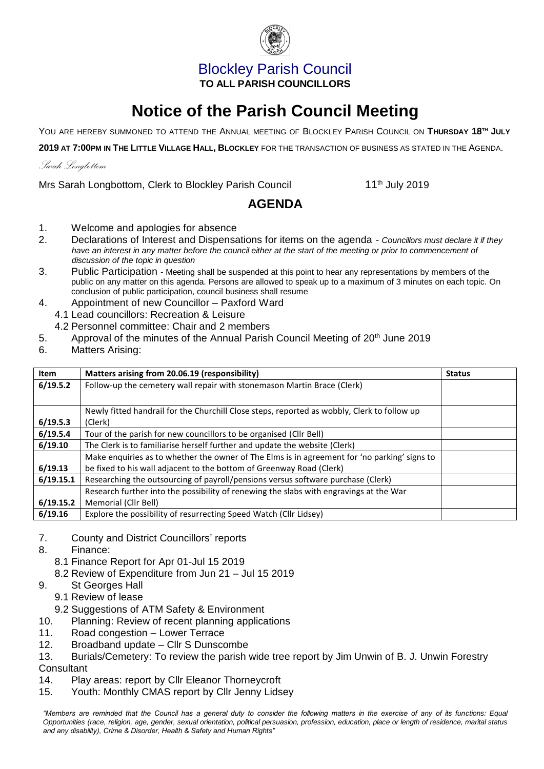## Blockley Parish Council **TO ALL PARISH COUNCILLORS**

# **Notice of the Parish Council Meeting**

YOU ARE HEREBY SUMMONED TO ATTEND THE ANNUAL MEETING OF BLOCKLEY PARISH COUNCIL ON **THURSDAY 18TH JULY**

**2019 AT 7:00PM IN THE LITTLE VILLAGE HALL, BLOCKLEY** FOR THE TRANSACTION OF BUSINESS AS STATED IN THE AGENDA.

### *Sarah Longbottom*

Mrs Sarah Longbottom, Clerk to Blockley Parish Council 11<sup>th</sup> July 2019

## **AGENDA**

- 1. Welcome and apologies for absence
- 2. Declarations of Interest and Dispensations for items on the agenda *Councillors must declare it if they*  have an interest in any matter before the council either at the start of the meeting or prior to commencement of *discussion of the topic in question*
- 3. Public Participation Meeting shall be suspended at this point to hear any representations by members of the public on any matter on this agenda. Persons are allowed to speak up to a maximum of 3 minutes on each topic. On conclusion of public participation, council business shall resume
- 4. Appointment of new Councillor Paxford Ward
- 4.1 Lead councillors: Recreation & Leisure
	- 4.2 Personnel committee: Chair and 2 members
- 5. Approval of the minutes of the Annual Parish Council Meeting of 20<sup>th</sup> June 2019
- 6. Matters Arising:

| <b>Item</b> | Matters arising from 20.06.19 (responsibility)                                               | <b>Status</b> |
|-------------|----------------------------------------------------------------------------------------------|---------------|
| 6/19.5.2    | Follow-up the cemetery wall repair with stonemason Martin Brace (Clerk)                      |               |
|             |                                                                                              |               |
|             | Newly fitted handrail for the Churchill Close steps, reported as wobbly, Clerk to follow up  |               |
| 6/19.5.3    | (Clerk)                                                                                      |               |
| 6/19.5.4    | Tour of the parish for new councillors to be organised (Cllr Bell)                           |               |
| 6/19.10     | The Clerk is to familiarise herself further and update the website (Clerk)                   |               |
|             | Make enquiries as to whether the owner of The Elms is in agreement for 'no parking' signs to |               |
| 6/19.13     | be fixed to his wall adjacent to the bottom of Greenway Road (Clerk)                         |               |
| 6/19.15.1   | Researching the outsourcing of payroll/pensions versus software purchase (Clerk)             |               |
|             | Research further into the possibility of renewing the slabs with engravings at the War       |               |
| 6/19.15.2   | Memorial (Cllr Bell)                                                                         |               |
| 6/19.16     | Explore the possibility of resurrecting Speed Watch (Cllr Lidsey)                            |               |

- 7. County and District Councillors' reports
- 8. Finance:
	- 8.1 Finance Report for Apr 01-Jul 15 2019
	- 8.2 Review of Expenditure from Jun 21 Jul 15 2019
- 9. St Georges Hall
	- 9.1 Review of lease
	- 9.2 Suggestions of ATM Safety & Environment
- 10. Planning: Review of recent planning applications
- 11. Road congestion Lower Terrace
- 12. Broadband update Cllr S Dunscombe
- 13. Burials/Cemetery: To review the parish wide tree report by Jim Unwin of B. J. Unwin Forestry **Consultant**
- 14. Play areas: report by Cllr Eleanor Thorneycroft
- 15. Youth: Monthly CMAS report by Cllr Jenny Lidsey